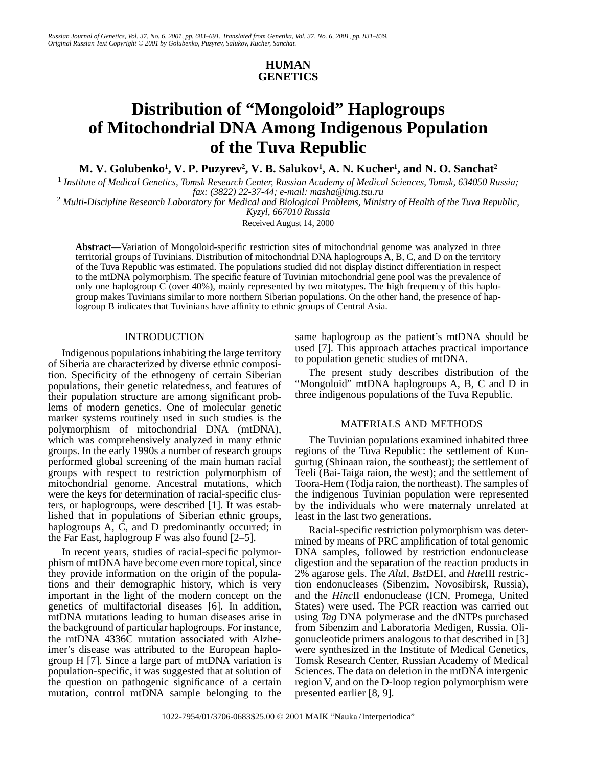*Russian Journal of Genetics, Vol. 37, No. 6, 2001, pp. 683–691. Translated from Genetika, Vol. 37, No. 6, 2001, pp. 831–839. Original Russian Text Copyright © 2001 by Golubenko, Puzyrev, Salukov, Kucher, Sanchat.*

# **HUMAN GENETICS**

# **Distribution of "Mongoloid" Haplogroups of Mitochondrial DNA Among Indigenous Population of the Tuva Republic**

**M. V. Golubenko<sup>1</sup>, <b>V. P. Puzyrev<sup>2</sup>, V. B. Salukov<sup>1</sup>, A. N. Kucher<sup>1</sup>, and N. O. Sanchat<sup>2</sup>** 

1  *Institute of Medical Genetics, Tomsk Research Center, Russian Academy of Medical Sciences, Tomsk, 634050 Russia; fax: (3822) 22-37-44; e-mail: masha@img.tsu.ru* <sup>2</sup>  *Multi-Discipline Research Laboratory for Medical and Biological Problems, Ministry of Health of the Tuva Republic,* 

*Kyzyl, 667010 Russia*

Received August 14, 2000

**Abstract**—Variation of Mongoloid-specific restriction sites of mitochondrial genome was analyzed in three territorial groups of Tuvinians. Distribution of mitochondrial DNA haplogroups A, B, C, and D on the territory of the Tuva Republic was estimated. The populations studied did not display distinct differentiation in respect to the mtDNA polymorphism. The specific feature of Tuvinian mitochondrial gene pool was the prevalence of only one haplogroup  $\overline{C}$  (over 40%), mainly represented by two mitotypes. The high frequency of this haplogroup makes Tuvinians similar to more northern Siberian populations. On the other hand, the presence of haplogroup B indicates that Tuvinians have affinity to ethnic groups of Central Asia.

#### INTRODUCTION

Indigenous populations inhabiting the large territory of Siberia are characterized by diverse ethnic composition. Specificity of the ethnogeny of certain Siberian populations, their genetic relatedness, and features of their population structure are among significant problems of modern genetics. One of molecular genetic marker systems routinely used in such studies is the polymorphism of mitochondrial DNA (mtDNA), which was comprehensively analyzed in many ethnic groups. In the early 1990s a number of research groups performed global screening of the main human racial groups with respect to restriction polymorphism of mitochondrial genome. Ancestral mutations, which were the keys for determination of racial-specific clusters, or haplogroups, were described [1]. It was established that in populations of Siberian ethnic groups, haplogroups  $A$ ,  $C$ , and  $D$  predominantly occurred; in the Far East, haplogroup F was also found [2–5].

In recent years, studies of racial-specific polymorphism of mtDNA have become even more topical, since they provide information on the origin of the populations and their demographic history, which is very important in the light of the modern concept on the genetics of multifactorial diseases [6]. In addition, mtDNA mutations leading to human diseases arise in the background of particular haplogroups. For instance, the mtDNA 4336C mutation associated with Alzheimer's disease was attributed to the European haplogroup H [7]. Since a large part of mtDNA variation is population-specific, it was suggested that at solution of the question on pathogenic significance of a certain mutation, control mtDNA sample belonging to the same haplogroup as the patient's mtDNA should be used [7]. This approach attaches practical importance to population genetic studies of mtDNA.

The present study describes distribution of the "Mongoloid" mtDNA haplogroups A, B, C and D in three indigenous populations of the Tuva Republic.

#### MATERIALS AND METHODS

The Tuvinian populations examined inhabited three regions of the Tuva Republic: the settlement of Kungurtug (Shinaan raion, the southeast); the settlement of Teeli (Bai-Taiga raion, the west); and the settlement of Toora-Hem (Todja raion, the northeast). The samples of the indigenous Tuvinian population were represented by the individuals who were maternaly unrelated at least in the last two generations.

Racial-specific restriction polymorphism was determined by means of PRC amplification of total genomic DNA samples, followed by restriction endonuclease digestion and the separation of the reaction products in 2% agarose gels. The *Alu*I, *Bst*DEI, and *Hae*III restriction endonucleases (Sibenzim, Novosibirsk, Russia), and the *Hinc*II endonuclease (ICN, Promega, United States) were used. The PCR reaction was carried out using *Tag* DNA polymerase and the dNTPs purchased from Sibenzim and Laboratoria Medigen, Russia. Oligonucleotide primers analogous to that described in [3] were synthesized in the Institute of Medical Genetics, Tomsk Research Center, Russian Academy of Medical Sciences. The data on deletion in the mtDNA intergenic region V, and on the D-loop region polymorphism were presented earlier [8, 9].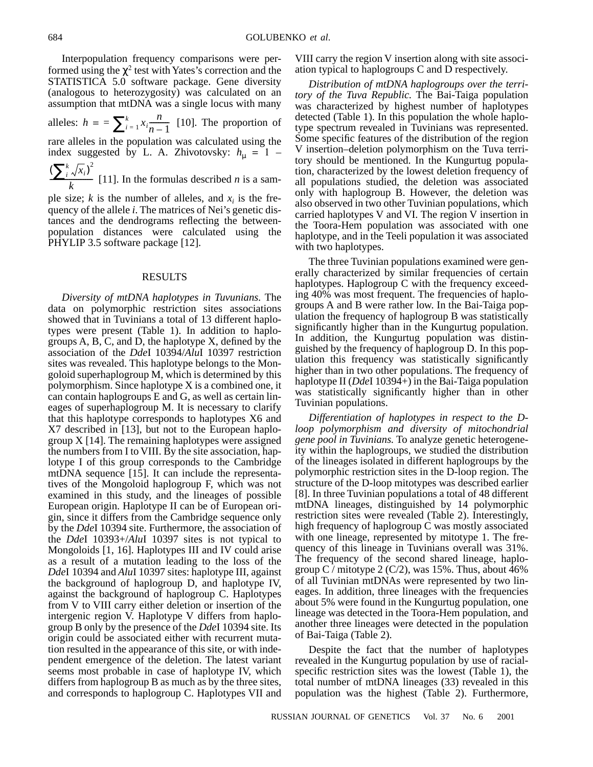Interpopulation frequency comparisons were performed using the  $\chi^2$  test with Yates's correction and the STATISTICA 5.0 software package. Gene diversity (analogous to heterozygosity) was calculated on an assumption that mtDNA was a single locus with many

alleles:  $h = \sum_{i=1}^{k} x_i \frac{n}{n-1}$  [10]. The proportion of rare alleles in the population was calculated using the

index suggested by L. A. Zhivotovsky:  $h_{\mu} = 1$  –

 $\left(\frac{\sum_{i}^{k}\sqrt{x_i}}{n}\right)^2$  [11]. In the formulas described *n* is a sam- $\frac{k}{k}$ 

ple size;  $k$  is the number of alleles, and  $x_i$  is the frequency of the allele *i*. The matrices of Nei's genetic distances and the dendrograms reflecting the betweenpopulation distances were calculated using the PHYLIP 3.5 software package [12].

# RESULTS

*Diversity of mtDNA haplotypes in Tuvunians.* The data on polymorphic restriction sites associations showed that in Tuvinians a total of 13 different haplotypes were present (Table 1). In addition to haplogroups A, B, C, and D, the haplotype X, defined by the association of the *Dde*I 10394/*Alu*I 10397 restriction sites was revealed. This haplotype belongs to the Mongoloid superhaplogroup M, which is determined by this polymorphism. Since haplotype X is a combined one, it can contain haplogroups E and G, as well as certain lineages of superhaplogroup M. It is necessary to clarify that this haplotype corresponds to haplotypes X6 and X7 described in [13], but not to the European haplogroup X [14]. The remaining haplotypes were assigned the numbers from I to VIII. By the site association, haplotype I of this group corresponds to the Cambridge mtDNA sequence [15]. It can include the representatives of the Mongoloid haplogroup F, which was not examined in this study, and the lineages of possible European origin. Haplotype II can be of European origin, since it differs from the Cambridge sequence only by the *Dde*I 10394 site. Furthermore, the association of the *Dde*I 10393+/*Alu*I 10397 sites is not typical to Mongoloids [1, 16]. Haplotypes III and IV could arise as a result of a mutation leading to the loss of the *Dde*I 10394 and *Alu*I 10397 sites: haplotype III, against the background of haplogroup D, and haplotype IV, against the background of haplogroup C. Haplotypes from V to VIII carry either deletion or insertion of the intergenic region V. Haplotype V differs from haplogroup B only by the presence of the *Dde*I 10394 site. Its origin could be associated either with recurrent mutation resulted in the appearance of this site, or with independent emergence of the deletion. The latest variant seems most probable in case of haplotype IV, which differs from haplogroup B as much as by the three sites, and corresponds to haplogroup C. Haplotypes VII and

VIII carry the region V insertion along with site association typical to haplogroups C and D respectively.

*Distribution of mtDNA haplogroups over the territory of the Tuva Republic.* The Bai-Taiga population was characterized by highest number of haplotypes detected (Table 1). In this population the whole haplotype spectrum revealed in Tuvinians was represented. Some specific features of the distribution of the region V insertion–deletion polymorphism on the Tuva territory should be mentioned. In the Kungurtug population, characterized by the lowest deletion frequency of all populations studied, the deletion was associated only with haplogroup B. However, the deletion was also observed in two other Tuvinian populations, which carried haplotypes V and VI. The region V insertion in the Toora-Hem population was associated with one haplotype, and in the Teeli population it was associated with two haplotypes.

The three Tuvinian populations examined were generally characterized by similar frequencies of certain haplotypes. Haplogroup C with the frequency exceeding 40% was most frequent. The frequencies of haplogroups A and B were rather low. In the Bai-Taiga population the frequency of haplogroup B was statistically significantly higher than in the Kungurtug population. In addition, the Kungurtug population was distinguished by the frequency of haplogroup D. In this population this frequency was statistically significantly higher than in two other populations. The frequency of haplotype II (*Dde*I 10394+) in the Bai-Taiga population was statistically significantly higher than in other Tuvinian populations.

*Differentiation of haplotypes in respect to the Dloop polymorphism and diversity of mitochondrial gene pool in Tuvinians.* To analyze genetic heterogeneity within the haplogroups, we studied the distribution of the lineages isolated in different haplogroups by the polymorphic restriction sites in the D-loop region. The structure of the D-loop mitotypes was described earlier [8]. In three Tuvinian populations a total of 48 different mtDNA lineages, distinguished by 14 polymorphic restriction sites were revealed (Table 2). Interestingly, high frequency of haplogroup C was mostly associated with one lineage, represented by mitotype 1. The frequency of this lineage in Tuvinians overall was 31%. The frequency of the second shared lineage, haplogroup C / mitotype 2 (C/2), was 15%. Thus, about  $\overline{46\%}$ of all Tuvinian mtDNAs were represented by two lineages. In addition, three lineages with the frequencies about 5% were found in the Kungurtug population, one lineage was detected in the Toora-Hem population, and another three lineages were detected in the population of Bai-Taiga (Table 2).

Despite the fact that the number of haplotypes revealed in the Kungurtug population by use of racialspecific restriction sites was the lowest (Table 1), the total number of mtDNA lineages (33) revealed in this population was the highest (Table 2). Furthermore,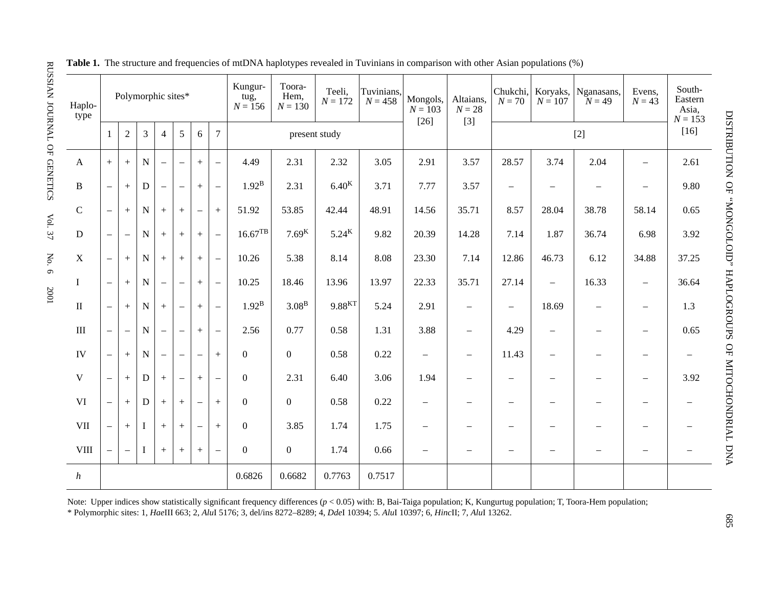| Haplo-<br>type   | Polymorphic sites*                                                                |                          |                |                          |                                 |                          |                          | Kungur-<br>tug,<br>$N = 156$ | Toora-<br>Hem,<br>$N = 130$ | Teeli,<br>$N = 172$ | Tuvinians,<br>$N = 458$ | Mongols,<br>$N = 103$    | Altaians,<br>$N = 28$    | Chukchi,<br>$N = 70$            | Koryaks,<br>$N = 107$    | Nganasans,<br>$N = 49$          | Evens,<br>$N = 43$       | South-<br>Eastern<br>Asia,<br>$N = 153$ |
|------------------|-----------------------------------------------------------------------------------|--------------------------|----------------|--------------------------|---------------------------------|--------------------------|--------------------------|------------------------------|-----------------------------|---------------------|-------------------------|--------------------------|--------------------------|---------------------------------|--------------------------|---------------------------------|--------------------------|-----------------------------------------|
|                  | $\overline{2}$<br>$\overline{7}$<br>3<br>5<br>6<br>$\overline{4}$<br>$\mathbf{1}$ |                          |                |                          |                                 |                          |                          | present study                |                             |                     |                         | $[26]$                   | $[3]$                    | $[2]$                           |                          |                                 |                          | $[16]$                                  |
| $\mathbf{A}$     | $+$                                                                               | $+$                      | $\mathbf N$    | $\overline{\phantom{0}}$ | $\overline{\phantom{0}}$        | $+$                      | $\overline{\phantom{m}}$ | 4.49                         | 2.31                        | 2.32                | 3.05                    | 2.91                     | 3.57                     | 28.57                           | 3.74                     | 2.04                            | $\overline{\phantom{m}}$ | 2.61                                    |
| $\mathbf{B}$     | $\equiv$                                                                          | $+$                      | D              | $\overline{\phantom{0}}$ | $\overline{\phantom{0}}$        | $^{+}$                   | $\overline{\phantom{m}}$ | $1.92^{\rm B}$               | 2.31                        | $6.40^{\rm K}$      | 3.71                    | 7.77                     | 3.57                     | $\overline{\phantom{0}}$        | $\overline{\phantom{0}}$ | $\qquad \qquad -$               | $\overline{\phantom{m}}$ | 9.80                                    |
| $\mathbf C$      | $\equiv$                                                                          | $+$                      | $\overline{N}$ | $+$                      | $+$                             | $\overline{\phantom{0}}$ | $+$                      | 51.92                        | 53.85                       | 42.44               | 48.91                   | 14.56                    | 35.71                    | 8.57                            | 28.04                    | 38.78                           | 58.14                    | 0.65                                    |
| $\mathbf D$      | $\equiv$                                                                          | $\equiv$                 | $\mathbf N$    | $+$                      | $+$                             | $^{+}$                   | $\overline{\phantom{m}}$ | $16.67^{TB}$                 | 7.69 <sup>K</sup>           | $5.24^{\rm K}$      | 9.82                    | 20.39                    | 14.28                    | 7.14                            | 1.87                     | 36.74                           | 6.98                     | 3.92                                    |
| $\mathbf X$      | $\qquad \qquad -$                                                                 | $+$                      | N              | $+$                      | $+$                             | $+$                      | $\overline{\phantom{m}}$ | 10.26                        | 5.38                        | 8.14                | 8.08                    | 23.30                    | 7.14                     | 12.86                           | 46.73                    | 6.12                            | 34.88                    | 37.25                                   |
| $\mathbf I$      | $\equiv$                                                                          | $+$                      | $\mathbf N$    | $\overline{\phantom{m}}$ | $\overline{\phantom{a}}$        | $+$                      | $\overline{\phantom{m}}$ | 10.25                        | 18.46                       | 13.96               | 13.97                   | 22.33                    | 35.71                    | 27.14                           |                          | 16.33                           | $\overline{\phantom{m}}$ | 36.64                                   |
| $\mathbf{I}$     | $\equiv$                                                                          | $+$                      | $\mathbf N$    | $+$                      | $\overline{\phantom{0}}$        | $+$                      | $\overline{\phantom{m}}$ | $1.92^B$                     | 3.08 <sup>B</sup>           | 9.88 <sup>KT</sup>  | 5.24                    | 2.91                     | $\overline{\phantom{0}}$ | $\overline{\phantom{0}}$        | 18.69                    | $\overline{\phantom{0}}$        | $\qquad \qquad -$        | 1.3                                     |
| III              | $\equiv$                                                                          | $\bar{ }$                | $\mathbf N$    | $\overline{\phantom{0}}$ | $\overbrace{\phantom{1232211}}$ | $^{+}$                   | $\overline{\phantom{m}}$ | 2.56                         | 0.77                        | 0.58                | 1.31                    | 3.88                     | $\overline{\phantom{m}}$ | 4.29                            | $\overline{\phantom{0}}$ | $\overline{\phantom{0}}$        | $\overline{\phantom{m}}$ | 0.65                                    |
| IV               | $\equiv$                                                                          | $+$                      | $\mathbf N$    | $\overline{\phantom{m}}$ | $\overline{\phantom{0}}$        | $\overline{\phantom{0}}$ | $^{+}$                   | $\boldsymbol{0}$             | $\boldsymbol{0}$            | 0.58                | 0.22                    | $\qquad \qquad -$        | $\qquad \qquad -$        | 11.43                           | $\qquad \qquad -$        | $\overline{\phantom{0}}$        | $\overline{\phantom{m}}$ | $\overbrace{\phantom{1232211}}$         |
| $\mathbf{V}$     | $\qquad \qquad -$                                                                 | $+$                      | D              | $+$                      | $\overbrace{\phantom{1232211}}$ | $+$                      | $\overline{\phantom{m}}$ | $\overline{0}$               | 2.31                        | 6.40                | 3.06                    | 1.94                     | $\overline{\phantom{m}}$ | $\overbrace{\phantom{1232211}}$ | $\overline{\phantom{0}}$ | $\overbrace{\phantom{1232211}}$ | $\qquad \qquad -$        | 3.92                                    |
| <b>VI</b>        | $\equiv$                                                                          | $+$                      | $\mathbf D$    | $+$                      | $+$                             | $\overline{\phantom{m}}$ | $+$                      | $\overline{0}$               | $\boldsymbol{0}$            | 0.58                | 0.22                    | $\equiv$                 | $\overline{\phantom{0}}$ | $\overline{\phantom{0}}$        | $\qquad \qquad -$        | $\overline{\phantom{0}}$        | $\overline{\phantom{0}}$ |                                         |
| <b>VII</b>       | $\equiv$                                                                          | $+$                      | I              | $+$                      | $+$                             | $\overline{\phantom{0}}$ | $+$                      | $\overline{0}$               | 3.85                        | 1.74                | 1.75                    | $\overline{\phantom{0}}$ | $\overline{\phantom{0}}$ | $\overline{\phantom{0}}$        |                          | $\overbrace{\phantom{1232211}}$ | $\overline{\phantom{0}}$ |                                         |
| ${\rm VIII}$     | $\qquad \qquad -$                                                                 | $\overline{\phantom{m}}$ | I              | $+$                      | $+$                             | $+$                      | $\overline{\phantom{m}}$ | $\overline{0}$               | $\boldsymbol{0}$            | 1.74                | 0.66                    | $\overline{\phantom{0}}$ |                          |                                 | $\overline{\phantom{0}}$ |                                 |                          |                                         |
| $\boldsymbol{h}$ |                                                                                   |                          |                |                          |                                 |                          |                          | 0.6826                       | 0.6682                      | 0.7763              | 0.7517                  |                          |                          |                                 |                          |                                 |                          |                                         |

Table 1. The structure and frequencies of mtDNA haplotypes revealed in Tuvinians in comparison with other Asian populations (%)

Note: Upper indices show statistically significant frequency differences ( $p < 0.05$ ) with: B, Bai-Taiga population; K, Kungurtug population; T, Toora-Hem population;

\* Polymorphic sites: 1, *Hae*III 663; 2, *Alu*I 5176; 3, del/ins 8272–8289; 4, *Dde*I 10394; 5. *Alu*I 10397; 6, *Hinc*II; 7, *Alu*I 13262.

685

DISTRIBUTION OF "MONGOLOID" HAPLOGROUPS OF MITOCHOHONDRIAL DNA

DISTRIBUTION OF "MONGOLODY HAPLOGROUPS OF MITOCHONDRIAL DNA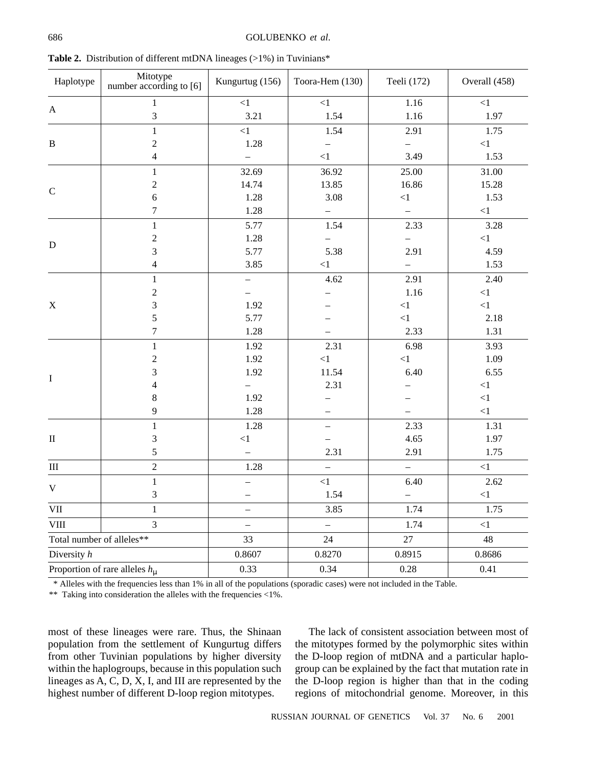## GOLUBENKO *et al*.

| Haplotype                 | Mitotype<br>number according to [6]  | Kungurtug (156)   | Toora-Hem (130)          | Teeli (172)              | Overall (458) |  |
|---------------------------|--------------------------------------|-------------------|--------------------------|--------------------------|---------------|--|
|                           | $\mathbf{1}$                         | ${<}1\,$          | ${<}1$                   | 1.16                     | ${<}1$        |  |
| $\mathbf{A}$              | $\mathfrak{Z}$                       | 3.21              | 1.54                     | 1.16                     | 1.97          |  |
|                           | $\mathbf{1}$                         | $<\!\!1$          | 1.54                     | 2.91                     | 1.75          |  |
| $\, {\bf B}$              | $\overline{c}$                       | 1.28              | $\overline{\phantom{0}}$ | $\qquad \qquad -$        | ${<}1$        |  |
|                           | 4                                    | $\equiv$          | <1                       | 3.49                     | 1.53          |  |
|                           | $\mathbf{1}$                         | 32.69             | 36.92                    | 25.00                    | 31.00         |  |
| $\mathbf C$               | $\sqrt{2}$                           | 14.74             | 13.85                    | 16.86                    | 15.28         |  |
|                           | 6                                    | 1.28              | 3.08                     | $<1\,$                   | 1.53          |  |
|                           | $\boldsymbol{7}$                     | 1.28              | $\overline{\phantom{0}}$ |                          | $<\!\!1$      |  |
|                           | $\mathbf{1}$                         | 5.77              | 1.54                     | 2.33                     | 3.28          |  |
| $\mathbf D$               | $\overline{c}$                       | 1.28              | $\overline{\phantom{0}}$ |                          | ${<}1$        |  |
|                           | 3                                    | 5.77              | 5.38                     | 2.91                     | 4.59          |  |
|                           | $\overline{\mathcal{L}}$             | 3.85              | $<1\,$                   |                          | 1.53          |  |
|                           | $\mathbf{1}$                         | $\qquad \qquad -$ | 4.62                     | 2.91                     | 2.40          |  |
|                           | $\sqrt{2}$                           |                   |                          | 1.16                     | ${<}1\,$      |  |
| $\mathbf X$               | 3                                    | 1.92              |                          | $\leq$ 1                 | $<\!\!1$      |  |
|                           | 5                                    | 5.77              |                          | <1                       | 2.18          |  |
|                           | 7                                    | 1.28              |                          | 2.33                     | 1.31          |  |
|                           | $\mathbf{1}$                         | 1.92              | 2.31                     | 6.98                     | 3.93          |  |
|                           | $\sqrt{2}$                           | 1.92              | ${<}1$                   | $<1\,$                   | 1.09          |  |
| $\bf I$                   | 3                                    | 1.92              | 11.54                    | 6.40                     | 6.55          |  |
|                           | 4                                    |                   | 2.31                     |                          | $<\!\!1$      |  |
|                           | 8                                    | 1.92              |                          |                          | $<\!\!1$      |  |
|                           | 9                                    | 1.28              |                          |                          | ${<}1\,$      |  |
|                           | $\,1$                                | 1.28              | $\overline{\phantom{0}}$ | 2.33                     | 1.31          |  |
| $\mathbf{I}$              | 3                                    | $<\!\!1$          |                          | 4.65                     | 1.97          |  |
|                           | 5                                    |                   | 2.31                     | 2.91                     | 1.75          |  |
| $\rm III$                 | $\boldsymbol{2}$                     | 1.28              | $\qquad \qquad -$        | $\overline{\phantom{0}}$ | $<\!\!1$      |  |
| $\mathbf V$               | $\,1$                                |                   | $<\!\!1$                 | 6.40                     | 2.62          |  |
|                           | 3                                    | -                 | 1.54                     | -                        | $<\!\!1$      |  |
| ${\rm VII}$               | $\mathbf{1}$                         | $\qquad \qquad -$ | 3.85                     | 1.74                     | 1.75          |  |
| 3<br>${\rm VIII}$         |                                      | $\equiv$          | $\equiv$                 | 1.74                     | $<\!\!1$      |  |
| Total number of alleles** |                                      | 33                | 24                       | $27\,$                   | 48            |  |
| Diversity $h$             |                                      | 0.8607            | 0.8270                   | 0.8915                   | 0.8686        |  |
|                           | Proportion of rare alleles $h_{\mu}$ | 0.33              | 0.34                     | 0.28                     | 0.41          |  |

**Table 2.** Distribution of different mtDNA lineages (>1%) in Tuvinians\*

\* Alleles with the frequencies less than 1% in all of the populations (sporadic cases) were not included in the Table.

\*\* Taking into consideration the alleles with the frequencies <1%.

most of these lineages were rare. Thus, the Shinaan population from the settlement of Kungurtug differs from other Tuvinian populations by higher diversity within the haplogroups, because in this population such lineages as A, C, D, X, I, and III are represented by the highest number of different D-loop region mitotypes.

The lack of consistent association between most of the mitotypes formed by the polymorphic sites within the D-loop region of mtDNA and a particular haplogroup can be explained by the fact that mutation rate in the D-loop region is higher than that in the coding regions of mitochondrial genome. Moreover, in this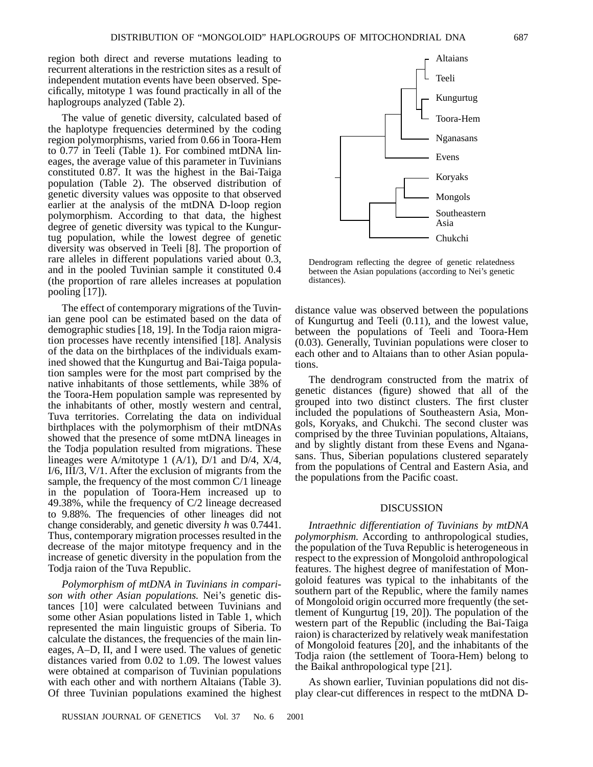The value of genetic diversity, calculated based of the haplotype frequencies determined by the coding region polymorphisms, varied from 0.66 in Toora-Hem to 0.77 in Teeli (Table 1). For combined mtDNA lineages, the average value of this parameter in Tuvinians constituted 0.87. It was the highest in the Bai-Taiga population (Table 2). The observed distribution of genetic diversity values was opposite to that observed earlier at the analysis of the mtDNA D-loop region polymorphism. According to that data, the highest degree of genetic diversity was typical to the Kungurtug population, while the lowest degree of genetic diversity was observed in Teeli [8]. The proportion of rare alleles in different populations varied about 0.3, and in the pooled Tuvinian sample it constituted 0.4 (the proportion of rare alleles increases at population pooling [17]).

region both direct and reverse mutations leading to recurrent alterations in the restriction sites as a result of independent mutation events have been observed. Specifically, mitotype 1 was found practically in all of the

haplogroups analyzed (Table 2).

The effect of contemporary migrations of the Tuvinian gene pool can be estimated based on the data of demographic studies [18, 19]. In the Todja raion migration processes have recently intensified [18]. Analysis of the data on the birthplaces of the individuals examined showed that the Kungurtug and Bai-Taiga population samples were for the most part comprised by the native inhabitants of those settlements, while 38% of the Toora-Hem population sample was represented by the inhabitants of other, mostly western and central, Tuva territories. Correlating the data on individual birthplaces with the polymorphism of their mtDNAs showed that the presence of some mtDNA lineages in the Todja population resulted from migrations. These lineages were A/mitotype 1 (A/1), D/1 and D/4, X/4, I/6, III/3, V/1. After the exclusion of migrants from the sample, the frequency of the most common C/1 lineage in the population of Toora-Hem increased up to 49.38%, while the frequency of C/2 lineage decreased to 9.88%. The frequencies of other lineages did not change considerably, and genetic diversity *h* was 0.7441. Thus, contemporary migration processes resulted in the decrease of the major mitotype frequency and in the increase of genetic diversity in the population from the Todja raion of the Tuva Republic.

*Polymorphism of mtDNA in Tuvinians in comparison with other Asian populations.* Nei's genetic distances [10] were calculated between Tuvinians and some other Asian populations listed in Table 1, which represented the main linguistic groups of Siberia. To calculate the distances, the frequencies of the main lineages, A–D, II, and I were used. The values of genetic distances varied from 0.02 to 1.09. The lowest values were obtained at comparison of Tuvinian populations with each other and with northern Altaians (Table 3). Of three Tuvinian populations examined the highest



Dendrogram reflecting the degree of genetic relatedness between the Asian populations (according to Nei's genetic distances).

distance value was observed between the populations of Kungurtug and Teeli (0.11), and the lowest value, between the populations of Teeli and Toora-Hem (0.03). Generally, Tuvinian populations were closer to each other and to Altaians than to other Asian populations.

The dendrogram constructed from the matrix of genetic distances (figure) showed that all of the grouped into two distinct clusters. The first cluster included the populations of Southeastern Asia, Mongols, Koryaks, and Chukchi. The second cluster was comprised by the three Tuvinian populations, Altaians, and by slightly distant from these Evens and Nganasans. Thus, Siberian populations clustered separately from the populations of Central and Eastern Asia, and the populations from the Pacific coast.

### DISCUSSION

*Intraethnic differentiation of Tuvinians by mtDNA polymorphism.* According to anthropological studies, the population of the Tuva Republic is heterogeneous in respect to the expression of Mongoloid anthropological features. The highest degree of manifestation of Mongoloid features was typical to the inhabitants of the southern part of the Republic, where the family names of Mongoloid origin occurred more frequently (the settlement of Kungurtug [19, 20]). The population of the western part of the Republic (including the Bai-Taiga raion) is characterized by relatively weak manifestation of Mongoloid features [20], and the inhabitants of the Todja raion (the settlement of Toora-Hem) belong to the Baikal anthropological type [21].

As shown earlier, Tuvinian populations did not display clear-cut differences in respect to the mtDNA D-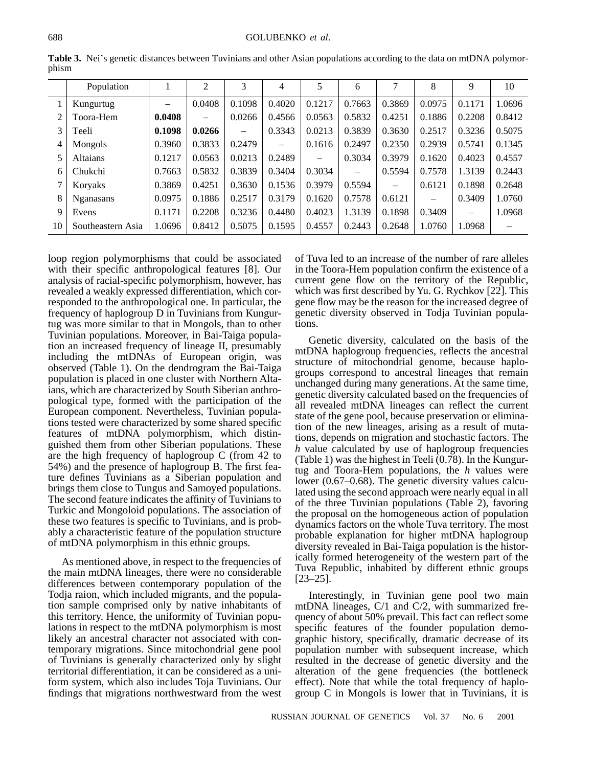|    | Population        |        | 2                        | 3                        | 4      | 5      | 6                        | 7                        | 8                        | 9                        | 10     |
|----|-------------------|--------|--------------------------|--------------------------|--------|--------|--------------------------|--------------------------|--------------------------|--------------------------|--------|
|    | Kungurtug         |        | 0.0408                   | 0.1098                   | 0.4020 | 0.1217 | 0.7663                   | 0.3869                   | 0.0975                   | 0.1171                   | 1.0696 |
| 2  | Toora-Hem         | 0.0408 | $\overline{\phantom{0}}$ | 0.0266                   | 0.4566 | 0.0563 | 0.5832                   | 0.4251                   | 0.1886                   | 0.2208                   | 0.8412 |
| 3  | Teeli             | 0.1098 | 0.0266                   | $\overline{\phantom{0}}$ | 0.3343 | 0.0213 | 0.3839                   | 0.3630                   | 0.2517                   | 0.3236                   | 0.5075 |
| 4  | Mongols           | 0.3960 | 0.3833                   | 0.2479                   | -      | 0.1616 | 0.2497                   | 0.2350                   | 0.2939                   | 0.5741                   | 0.1345 |
| 5  | <b>Altaians</b>   | 0.1217 | 0.0563                   | 0.0213                   | 0.2489 |        | 0.3034                   | 0.3979                   | 0.1620                   | 0.4023                   | 0.4557 |
| 6  | Chukchi           | 0.7663 | 0.5832                   | 0.3839                   | 0.3404 | 0.3034 | $\overline{\phantom{0}}$ | 0.5594                   | 0.7578                   | 1.3139                   | 0.2443 |
|    | Koryaks           | 0.3869 | 0.4251                   | 0.3630                   | 0.1536 | 0.3979 | 0.5594                   | $\overline{\phantom{0}}$ | 0.6121                   | 0.1898                   | 0.2648 |
| 8  | <b>Nganasans</b>  | 0.0975 | 0.1886                   | 0.2517                   | 0.3179 | 0.1620 | 0.7578                   | 0.6121                   | $\overline{\phantom{0}}$ | 0.3409                   | 1.0760 |
| 9  | Evens             | 0.1171 | 0.2208                   | 0.3236                   | 0.4480 | 0.4023 | 1.3139                   | 0.1898                   | 0.3409                   | $\overline{\phantom{0}}$ | 1.0968 |
| 10 | Southeastern Asia | 1.0696 | 0.8412                   | 0.5075                   | 0.1595 | 0.4557 | 0.2443                   | 0.2648                   | 1.0760                   | 1.0968                   |        |

**Table 3.** Nei's genetic distances between Tuvinians and other Asian populations according to the data on mtDNA polymorphism

loop region polymorphisms that could be associated with their specific anthropological features [8]. Our analysis of racial-specific polymorphism, however, has revealed a weakly expressed differentiation, which corresponded to the anthropological one. In particular, the frequency of haplogroup D in Tuvinians from Kungurtug was more similar to that in Mongols, than to other Tuvinian populations. Moreover, in Bai-Taiga population an increased frequency of lineage II, presumably including the mtDNAs of European origin, was observed (Table 1). On the dendrogram the Bai-Taiga population is placed in one cluster with Northern Altaians, which are characterized by South Siberian anthropological type, formed with the participation of the European component. Nevertheless, Tuvinian populations tested were characterized by some shared specific features of mtDNA polymorphism, which distinguished them from other Siberian populations. These are the high frequency of haplogroup C (from 42 to 54%) and the presence of haplogroup B. The first feature defines Tuvinians as a Siberian population and brings them close to Tungus and Samoyed populations. The second feature indicates the affinity of Tuvinians to Turkic and Mongoloid populations. The association of these two features is specific to Tuvinians, and is probably a characteristic feature of the population structure of mtDNA polymorphism in this ethnic groups.

As mentioned above, in respect to the frequencies of the main mtDNA lineages, there were no considerable differences between contemporary population of the Todja raion, which included migrants, and the population sample comprised only by native inhabitants of this territory. Hence, the uniformity of Tuvinian populations in respect to the mtDNA polymorphism is most likely an ancestral character not associated with contemporary migrations. Since mitochondrial gene pool of Tuvinians is generally characterized only by slight territorial differentiation, it can be considered as a uniform system, which also includes Toja Tuvinians. Our findings that migrations northwestward from the west of Tuva led to an increase of the number of rare alleles in the Toora-Hem population confirm the existence of a current gene flow on the territory of the Republic, which was first described by Yu. G. Rychkov [22]. This gene flow may be the reason for the increased degree of genetic diversity observed in Todja Tuvinian populations.

Genetic diversity, calculated on the basis of the mtDNA haplogroup frequencies, reflects the ancestral structure of mitochondrial genome, because haplogroups correspond to ancestral lineages that remain unchanged during many generations. At the same time, genetic diversity calculated based on the frequencies of all revealed mtDNA lineages can reflect the current state of the gene pool, because preservation or elimination of the new lineages, arising as a result of mutations, depends on migration and stochastic factors. The *h* value calculated by use of haplogroup frequencies (Table 1) was the highest in Teeli (0.78). In the Kungurtug and Toora-Hem populations, the *h* values were lower (0.67–0.68). The genetic diversity values calculated using the second approach were nearly equal in all of the three Tuvinian populations (Table 2), favoring the proposal on the homogeneous action of population dynamics factors on the whole Tuva territory. The most probable explanation for higher mtDNA haplogroup diversity revealed in Bai-Taiga population is the historically formed heterogeneity of the western part of the Tuva Republic, inhabited by different ethnic groups [23–25].

Interestingly, in Tuvinian gene pool two main mtDNA lineages, C/1 and C/2, with summarized frequency of about 50% prevail. This fact can reflect some specific features of the founder population demographic history, specifically, dramatic decrease of its population number with subsequent increase, which resulted in the decrease of genetic diversity and the alteration of the gene frequencies (the bottleneck effect). Note that while the total frequency of haplogroup C in Mongols is lower that in Tuvinians, it is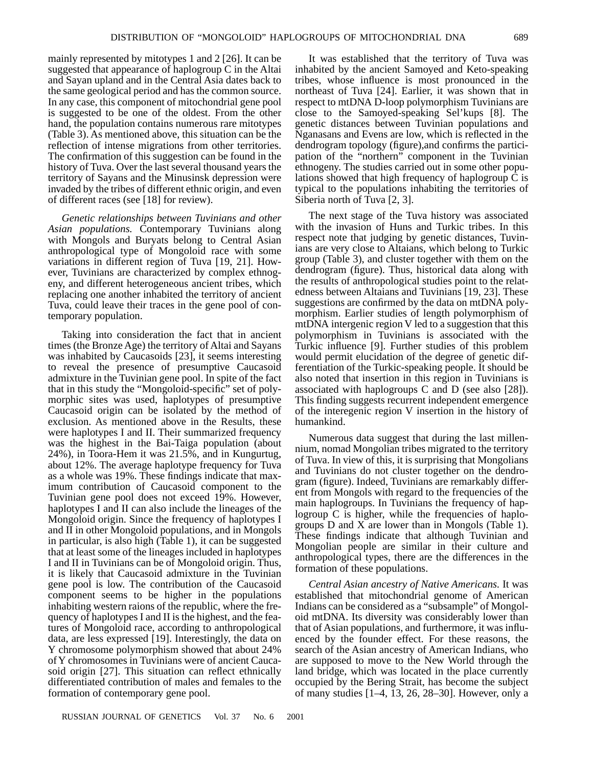mainly represented by mitotypes 1 and 2 [26]. It can be suggested that appearance of haplogroup C in the Altai and Sayan upland and in the Central Asia dates back to the same geological period and has the common source. In any case, this component of mitochondrial gene pool is suggested to be one of the oldest. From the other hand, the population contains numerous rare mitotypes (Table 3). As mentioned above, this situation can be the reflection of intense migrations from other territories. The confirmation of this suggestion can be found in the history of Tuva. Over the last several thousand years the territory of Sayans and the Minusinsk depression were invaded by the tribes of different ethnic origin, and even of different races (see [18] for review).

*Genetic relationships between Tuvinians and other Asian populations.* Contemporary Tuvinians along with Mongols and Buryats belong to Central Asian anthropological type of Mongoloid race with some variations in different region of Tuva [19, 21]. However, Tuvinians are characterized by complex ethnogeny, and different heterogeneous ancient tribes, which replacing one another inhabited the territory of ancient Tuva, could leave their traces in the gene pool of contemporary population.

Taking into consideration the fact that in ancient times (the Bronze Age) the territory of Altai and Sayans was inhabited by Caucasoids [23], it seems interesting to reveal the presence of presumptive Caucasoid admixture in the Tuvinian gene pool. In spite of the fact that in this study the "Mongoloid-specific" set of polymorphic sites was used, haplotypes of presumptive Caucasoid origin can be isolated by the method of exclusion. As mentioned above in the Results, these were haplotypes I and II. Their summarized frequency was the highest in the Bai-Taiga population (about 24%), in Toora-Hem it was 21.5%, and in Kungurtug, about 12%. The average haplotype frequency for Tuva as a whole was 19%. These findings indicate that maximum contribution of Caucasoid component to the Tuvinian gene pool does not exceed 19%. However, haplotypes I and II can also include the lineages of the Mongoloid origin. Since the frequency of haplotypes I and II in other Mongoloid populations, and in Mongols in particular, is also high (Table 1), it can be suggested that at least some of the lineages included in haplotypes I and II in Tuvinians can be of Mongoloid origin. Thus, it is likely that Caucasoid admixture in the Tuvinian gene pool is low. The contribution of the Caucasoid component seems to be higher in the populations inhabiting western raions of the republic, where the frequency of haplotypes I and II is the highest, and the features of Mongoloid race, according to anthropological data, are less expressed [19]. Interestingly, the data on Y chromosome polymorphism showed that about 24% of Y chromosomes in Tuvinians were of ancient Caucasoid origin [27]. This situation can reflect ethnically differentiated contribution of males and females to the formation of contemporary gene pool.

It was established that the territory of Tuva was inhabited by the ancient Samoyed and Keto-speaking tribes, whose influence is most pronounced in the northeast of Tuva [24]. Earlier, it was shown that in respect to mtDNA D-loop polymorphism Tuvinians are close to the Samoyed-speaking Sel'kups [8]. The genetic distances between Tuvinian populations and Nganasans and Evens are low, which is reflected in the dendrogram topology (figure),and confirms the participation of the "northern" component in the Tuvinian ethnogeny. The studies carried out in some other populations showed that high frequency of haplogroup C is typical to the populations inhabiting the territories of Siberia north of Tuva [2, 3].

The next stage of the Tuva history was associated with the invasion of Huns and Turkic tribes. In this respect note that judging by genetic distances, Tuvinians are very close to Altaians, which belong to Turkic group (Table 3), and cluster together with them on the dendrogram (figure). Thus, historical data along with the results of anthropological studies point to the relatedness between Altaians and Tuvinians [19, 23]. These suggestions are confirmed by the data on mtDNA polymorphism. Earlier studies of length polymorphism of mtDNA intergenic region V led to a suggestion that this polymorphism in Tuvinians is associated with the Turkic influence [9]. Further studies of this problem would permit elucidation of the degree of genetic differentiation of the Turkic-speaking people. It should be also noted that insertion in this region in Tuvinians is associated with haplogroups C and D (see also [28]). This finding suggests recurrent independent emergence of the interegenic region V insertion in the history of humankind.

Numerous data suggest that during the last millennium, nomad Mongolian tribes migrated to the territory of Tuva. In view of this, it is surprising that Mongolians and Tuvinians do not cluster together on the dendrogram (figure). Indeed, Tuvinians are remarkably different from Mongols with regard to the frequencies of the main haplogroups. In Tuvinians the frequency of haplogroup C is higher, while the frequencies of haplogroups D and X are lower than in Mongols (Table 1). These findings indicate that although Tuvinian and Mongolian people are similar in their culture and anthropological types, there are the differences in the formation of these populations.

*Central Asian ancestry of Native Americans.* It was established that mitochondrial genome of American Indians can be considered as a "subsample" of Mongoloid mtDNA. Its diversity was considerably lower than that of Asian populations, and furthermore, it was influenced by the founder effect. For these reasons, the search of the Asian ancestry of American Indians, who are supposed to move to the New World through the land bridge, which was located in the place currently occupied by the Bering Strait, has become the subject of many studies [1–4, 13, 26, 28–30]. However, only a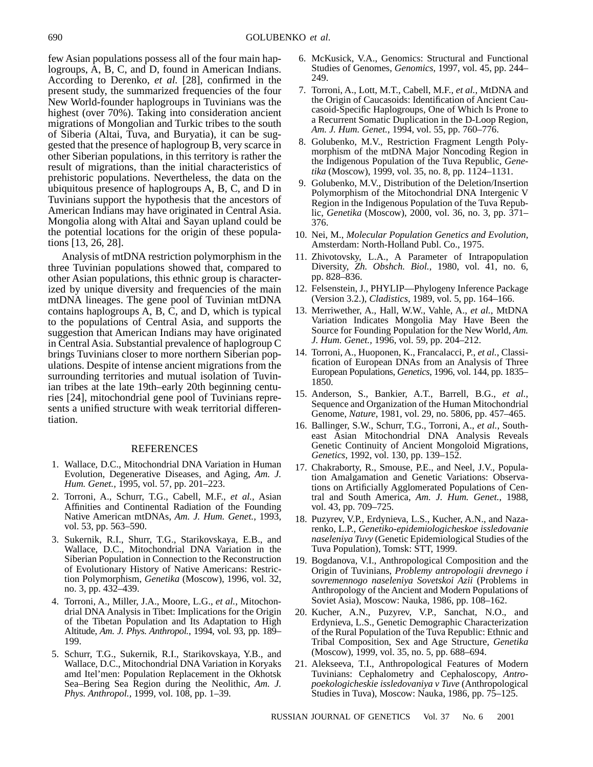few Asian populations possess all of the four main haplogroups, A, B, C, and D, found in American Indians. According to Derenko, *et al.* [28], confirmed in the present study, the summarized frequencies of the four New World-founder haplogroups in Tuvinians was the highest (over 70%). Taking into consideration ancient migrations of Mongolian and Turkic tribes to the south of Siberia (Altai, Tuva, and Buryatia), it can be suggested that the presence of haplogroup B, very scarce in other Siberian populations, in this territory is rather the result of migrations, than the initial characteristics of prehistoric populations. Nevertheless, the data on the ubiquitous presence of haplogroups A, B, C, and D in Tuvinians support the hypothesis that the ancestors of American Indians may have originated in Central Asia. Mongolia along with Altai and Sayan upland could be the potential locations for the origin of these populations [13, 26, 28].

Analysis of mtDNA restriction polymorphism in the three Tuvinian populations showed that, compared to other Asian populations, this ethnic group is characterized by unique diversity and frequencies of the main mtDNA lineages. The gene pool of Tuvinian mtDNA contains haplogroups A, B, C, and D, which is typical to the populations of Central Asia, and supports the suggestion that American Indians may have originated in Central Asia. Substantial prevalence of haplogroup C brings Tuvinians closer to more northern Siberian populations. Despite of intense ancient migrations from the surrounding territories and mutual isolation of Tuvinian tribes at the late 19th–early 20th beginning centuries [24], mitochondrial gene pool of Tuvinians represents a unified structure with weak territorial differentiation.

#### REFERENCES

- 1. Wallace, D.C., Mitochondrial DNA Variation in Human Evolution, Degenerative Diseases, and Aging, *Am. J. Hum. Genet.,* 1995, vol. 57, pp. 201–223.
- 2. Torroni, A., Schurr, T.G., Cabell, M.F., *et al.*, Asian Affinities and Continental Radiation of the Founding Native American mtDNAs, *Am. J. Hum. Genet.*, 1993, vol. 53, pp. 563–590.
- 3. Sukernik, R.I., Shurr, T.G., Starikovskaya, E.B., and Wallace, D.C., Mitochondrial DNA Variation in the Siberian Population in Connection to the Reconstruction of Evolutionary History of Native Americans: Restriction Polymorphism, *Genetika* (Moscow), 1996, vol. 32, no. 3, pp. 432–439.
- 4. Torroni, A., Miller, J.A., Moore, L.G., *et al.*, Mitochondrial DNA Analysis in Tibet: Implications for the Origin of the Tibetan Population and Its Adaptation to High Altitude, *Am. J. Phys. Anthropol.*, 1994, vol. 93, pp. 189– 199.
- 5. Schurr, T.G., Sukernik, R.I., Starikovskaya, Y.B., and Wallace, D.C., Mitochondrial DNA Variation in Koryaks amd Itel'men: Population Replacement in the Okhotsk Sea–Bering Sea Region during the Neolithic, *Am. J. Phys. Anthropol.,* 1999, vol. 108, pp. 1–39.
- 6. McKusick, V.A., Genomics: Structural and Functional Studies of Genomes, *Genomics*, 1997, vol. 45, pp. 244– 249.
- 7. Torroni, A., Lott, M.T., Cabell, M.F., *et al.*, MtDNA and the Origin of Caucasoids: Identification of Ancient Caucasoid-Specific Haplogroups, One of Which Is Prone to a Recurrent Somatic Duplication in the D-Loop Region, *Am. J. Hum. Genet.*, 1994, vol. 55, pp. 760–776.
- 8. Golubenko, M.V., Restriction Fragment Length Polymorphism of the mtDNA Major Noncoding Region in the Indigenous Population of the Tuva Republic, *Genetika* (Moscow), 1999, vol. 35, no. 8, pp. 1124–1131.
- 9. Golubenko, M.V., Distribution of the Deletion/Insertion Polymorphism of the Mitochondrial DNA Intergenic V Region in the Indigenous Population of the Tuva Republic, *Genetika* (Moscow), 2000, vol. 36, no. 3, pp. 371– 376.
- 10. Nei, M., *Molecular Population Genetics and Evolution,* Amsterdam: North-Holland Publ. Co., 1975.
- 11. Zhivotovsky, L.A., A Parameter of Intrapopulation Diversity, *Zh. Obshch. Biol.*, 1980, vol. 41, no. 6, pp. 828–836.
- 12. Felsenstein, J., PHYLIP—Phylogeny Inference Package (Version 3.2.), *Cladistics*, 1989, vol. 5, pp. 164–166.
- 13. Merriwether, A., Hall, W.W., Vahle, A., *et al.*, MtDNA Variation Indicates Mongolia May Have Been the Source for Founding Population for the New World, *Am. J. Hum. Genet.,* 1996, vol. 59, pp. 204–212.
- 14. Torroni, A., Huoponen, K., Francalacci, P., *et al.*, Classification of European DNAs from an Analysis of Three European Populations, *Genetics*, 1996, vol. 144, pp. 1835– 1850.
- 15. Anderson, S., Bankier, A.T., Barrell, B.G., *et al.*, Sequence and Organization of the Human Mitochondrial Genome, *Nature*, 1981, vol. 29, no. 5806, pp. 457–465.
- 16. Ballinger, S.W., Schurr, T.G., Torroni, A., *et al.*, Southeast Asian Mitochondrial DNA Analysis Reveals Genetic Continuity of Ancient Mongoloid Migrations, *Genetics*, 1992, vol. 130, pp. 139–152.
- 17. Chakraborty, R., Smouse, P.E., and Neel, J.V., Population Amalgamation and Genetic Variations: Observations on Artificially Agglomerated Populations of Central and South America, *Am. J. Hum. Genet.*, 1988, vol. 43, pp. 709–725.
- 18. Puzyrev, V.P., Erdynieva, L.S., Kucher, A.N., and Nazarenko, L.P., *Genetiko-epidemiologicheskoe issledovanie naseleniya Tuvy* (Genetic Epidemiological Studies of the Tuva Population), Tomsk: STT, 1999.
- 19. Bogdanova, V.I., Anthropological Composition and the Origin of Tuvinians, *Problemy antropologii drevnego i sovremennogo naseleniya Sovetskoi Azii* (Problems in Anthropology of the Ancient and Modern Populations of Soviet Asia), Moscow: Nauka, 1986, pp. 108–162.
- 20. Kucher, A.N., Puzyrev, V.P., Sanchat, N.O., and Erdynieva, L.S., Genetic Demographic Characterization of the Rural Population of the Tuva Republic: Ethnic and Tribal Composition, Sex and Age Structure, *Genetika* (Moscow), 1999, vol. 35, no. 5, pp. 688–694.
- 21. Alekseeva, T.I., Anthropological Features of Modern Tuvinians: Cephalometry and Cephaloscopy, *Antropoekologicheskie issledovaniya v Tuve* (Anthropological Studies in Tuva), Moscow: Nauka, 1986, pp. 75–125.

RUSSIAN JOURNAL OF GENETICS Vol. 37 No. 6 2001